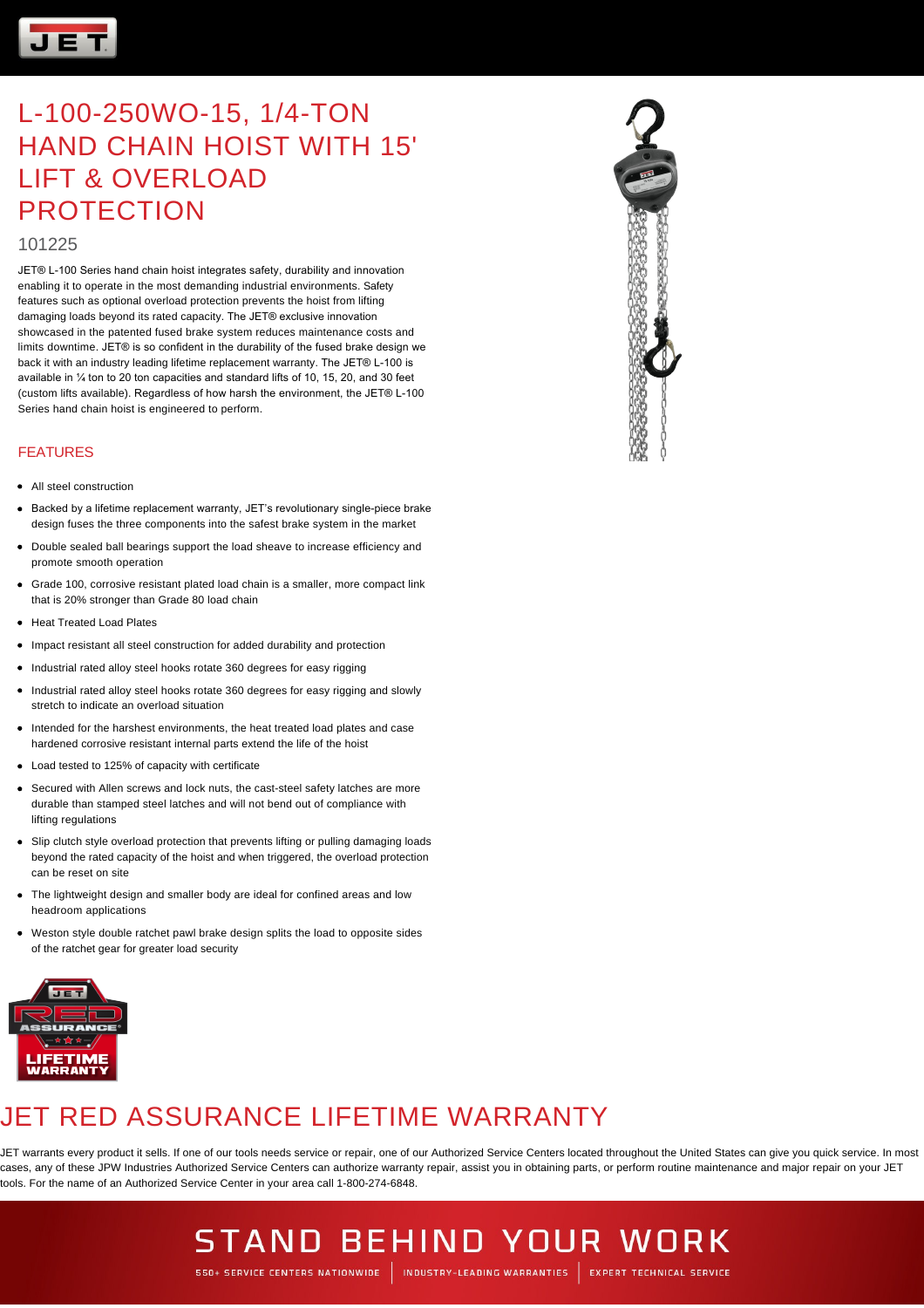

#### 101225

JET® L-100 Series hand chain hoist integrates safety, durability and innovation enabling it to operate in the most demanding industrial environments. Safety features such as optional overload protection prevents the hoist from lifting damaging loads beyond its rated capacity. The JET® exclusive innovation showcased in the patented fused brake system reduces maintenance costs and limits downtime. JET® is so confident in the durability of the fused brake design we back it with an industry leading lifetime replacement warranty. The JET® L-100 is available in ¼ ton to 20 ton capacities and standard lifts of 10, 15, 20, and 30 feet (custom lifts available). Regardless of how harsh the environment, the JET® L-100 Series hand chain hoist is engineered to perform.

#### FEATURES

- All steel construction
- Backed by a lifetime replacement warranty, JET's revolutionary single-piece brake design fuses the three components into the safest brake system in the market
- Double sealed ball bearings support the load sheave to increase efficiency and promote smooth operation
- Grade 100, corrosive resistant plated load chain is a smaller, more compact link that is 20% stronger than Grade 80 load chain
- Heat Treated Load Plates
- Impact resistant all steel construction for added durability and protection
- Industrial rated alloy steel hooks rotate 360 degrees for easy rigging
- Industrial rated alloy steel hooks rotate 360 degrees for easy rigging and slowly stretch to indicate an overload situation
- Intended for the harshest environments, the heat treated load plates and case hardened corrosive resistant internal parts extend the life of the hoist
- Load tested to 125% of capacity with certificate
- Secured with Allen screws and lock nuts, the cast-steel safety latches are more durable than stamped steel latches and will not bend out of compliance with lifting regulations
- Slip clutch style overload protection that prevents lifting or pulling damaging loads beyond the rated capacity of the hoist and when triggered, the overload protection can be reset on site
- The lightweight design and smaller body are ideal for confined areas and low headroom applications
- Weston style double ratchet pawl brake design splits the load to opposite sides of the ratchet gear for greater load security



## JET RED ASSURANCE LIFETIME WARRANTY

JET warrants every product it sells. If one of our tools needs service or repair, one of our Authorized Service Centers located throughout the United States can give you quick service. In most cases, any of these JPW Industries Authorized Service Centers can authorize warranty repair, assist you in obtaining parts, or perform routine maintenance and major repair on your JET tools. For the name of an Authorized Service Center in your area call 1-800-274-6848.

**STAND BEHIND YOUR WORK** 



550+ SERVICE CENTERS NATIONWIDE | INDUSTRY-LEADING WARRANTIES | EXPERT TECHNICAL SERVICE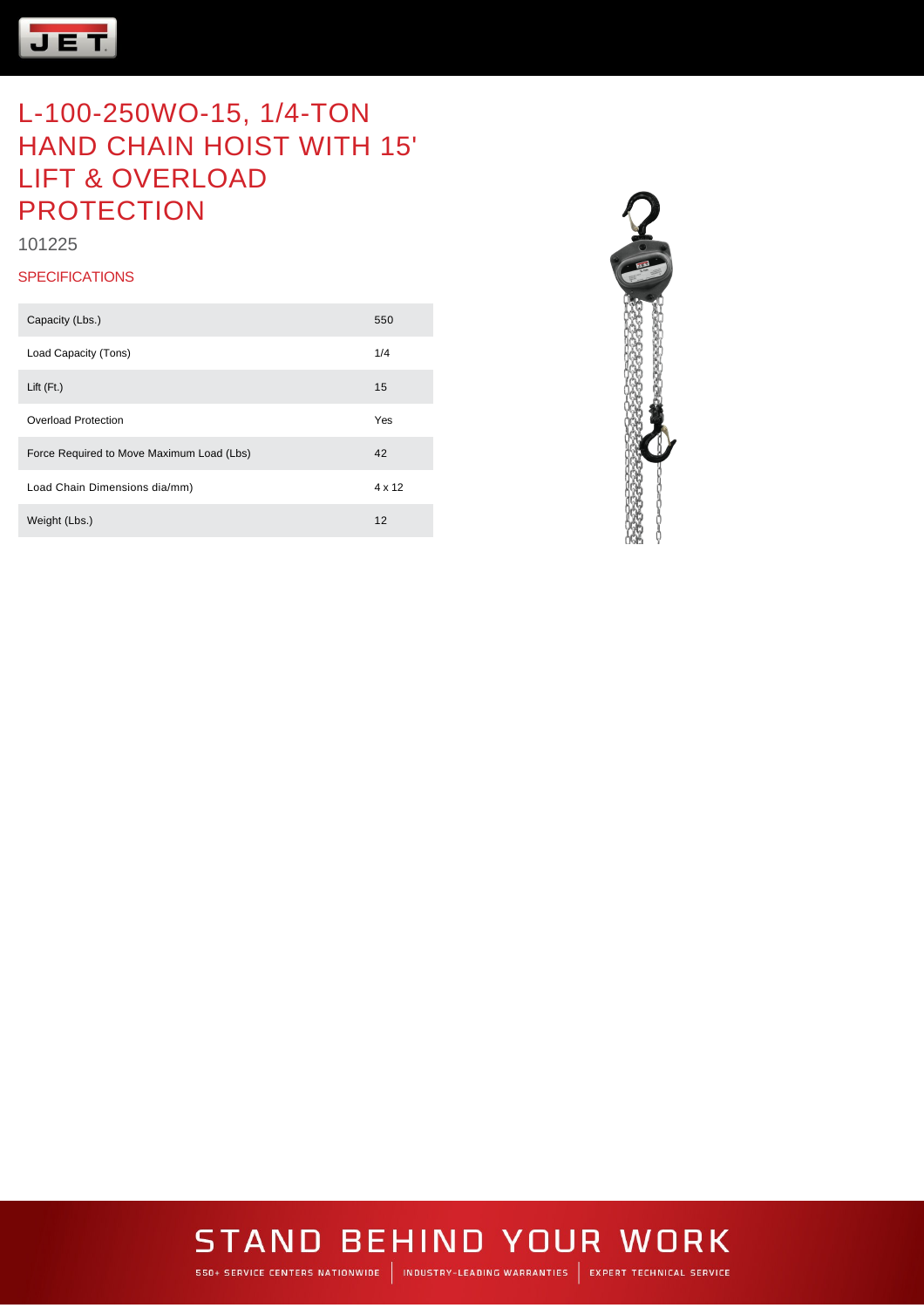

101225

#### **SPECIFICATIONS**

| Capacity (Lbs.)                           | 550           |
|-------------------------------------------|---------------|
| Load Capacity (Tons)                      | 1/4           |
| Lift $(Ft)$                               | 15            |
| Overload Protection                       | Yes           |
| Force Required to Move Maximum Load (Lbs) | 42            |
| Load Chain Dimensions dia/mm)             | $4 \times 12$ |
| Weight (Lbs.)                             | 12            |



## **STAND BEHIND YOUR WORK**

550+ SERVICE CENTERS NATIONWIDE | INDUSTRY-LEADING WARRANTIES | EXPERT TECHNICAL SERVICE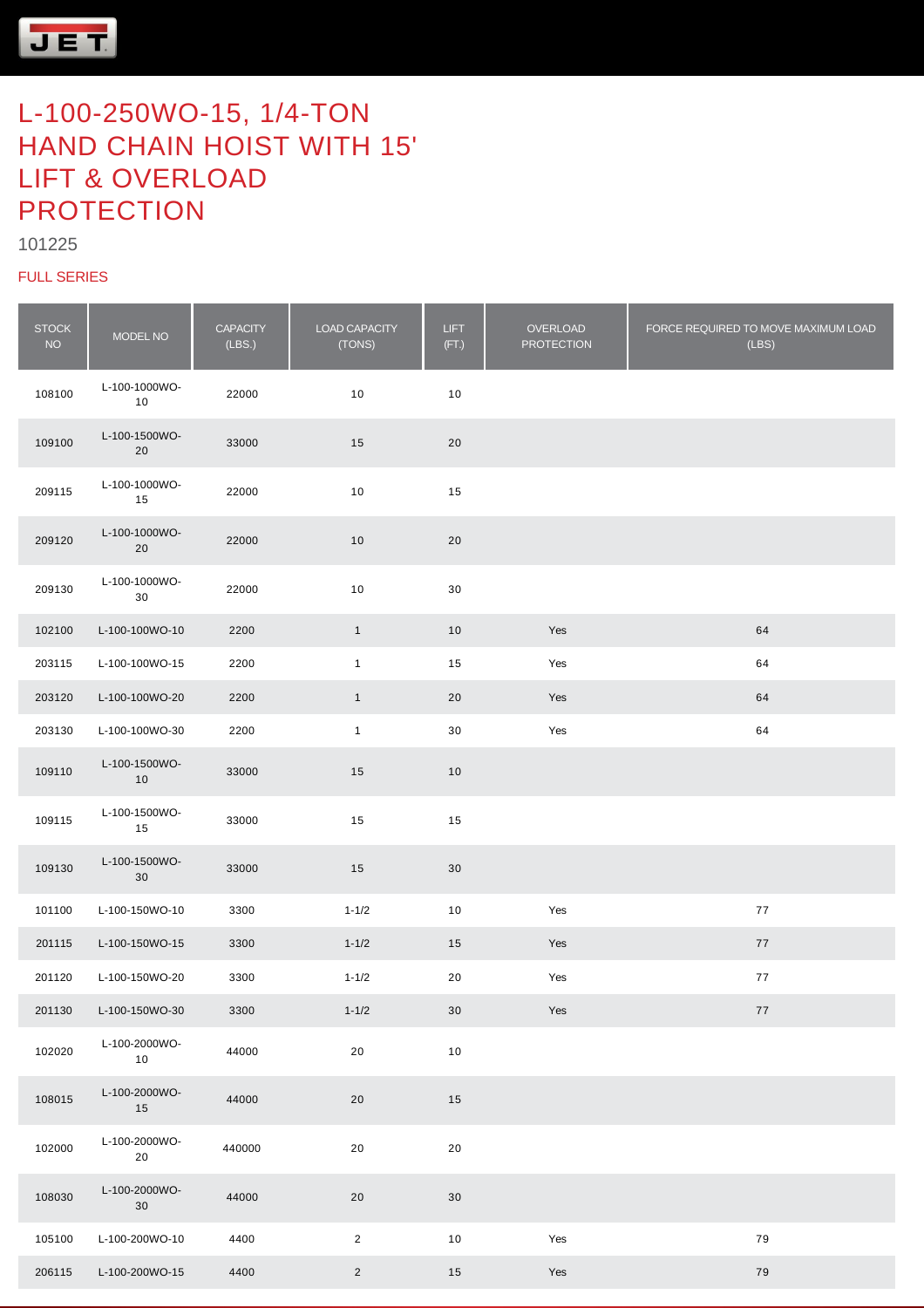

#### FULL SERIES

| <b>STOCK</b><br><b>NO</b> | MODEL NO            | <b>CAPACITY</b><br>(LES.) | LOAD CAPACITY<br>(TONS) | <b>LIFT</b><br>(FT.) | OVERLOAD<br><b>PROTECTION</b> | FORCE REQUIRED TO MOVE MAXIMUM LOAD<br>(LES) |
|---------------------------|---------------------|---------------------------|-------------------------|----------------------|-------------------------------|----------------------------------------------|
| 108100                    | L-100-1000WO-<br>10 | 22000                     | 10                      | 10                   |                               |                                              |
| 109100                    | L-100-1500WO-<br>20 | 33000                     | 15                      | 20                   |                               |                                              |
| 209115                    | L-100-1000WO-<br>15 | 22000                     | 10                      | 15                   |                               |                                              |
| 209120                    | L-100-1000WO-<br>20 | 22000                     | 10                      | 20                   |                               |                                              |
| 209130                    | L-100-1000WO-<br>30 | 22000                     | 10                      | 30                   |                               |                                              |
| 102100                    | L-100-100WO-10      | 2200                      | $\mathbf{1}$            | 10                   | Yes                           | 64                                           |
| 203115                    | L-100-100WO-15      | 2200                      | $\mathbf{1}$            | 15                   | Yes                           | 64                                           |
| 203120                    | L-100-100WO-20      | 2200                      | 1                       | 20                   | Yes                           | 64                                           |
| 203130                    | L-100-100WO-30      | 2200                      | $\mathbf{1}$            | 30                   | Yes                           | 64                                           |
| 109110                    | L-100-1500WO-<br>10 | 33000                     | 15                      | $10$                 |                               |                                              |
| 109115                    | L-100-1500WO-<br>15 | 33000                     | 15                      | 15                   |                               |                                              |
| 109130                    | L-100-1500WO-<br>30 | 33000                     | 15                      | 30                   |                               |                                              |
| 101100                    | L-100-150WO-10      | 3300                      | $1 - 1/2$               | 10                   | Yes                           | 77                                           |
| 201115                    | L-100-150WO-15      | 3300                      | $1 - 1/2$               | 15                   | Yes                           | 77                                           |
| 201120                    | L-100-150WO-20      | 3300                      | $1 - 1/2$               | 20                   | Yes                           | 77                                           |
| 201130                    | L-100-150WO-30      | 3300                      | $1 - 1/2$               | 30                   | Yes                           | 77                                           |
| 102020                    | L-100-2000WO-<br>10 | 44000                     | 20                      | $10$                 |                               |                                              |
| 108015                    | L-100-2000WO-<br>15 | 44000                     | 20                      | 15                   |                               |                                              |
| 102000                    | L-100-2000WO-<br>20 | 440000                    | $20\,$                  | $20\,$               |                               |                                              |
| 108030                    | L-100-2000WO-<br>30 | 44000                     | $20\,$                  | $30\,$               |                               |                                              |
| 105100                    | L-100-200WO-10      | 4400                      | $\mathbf{2}$            | $10$                 | Yes                           | 79                                           |
| 206115                    | L-100-200WO-15      | 4400                      | $\overline{c}$          | $15\,$               | Yes                           | $\bf 79$                                     |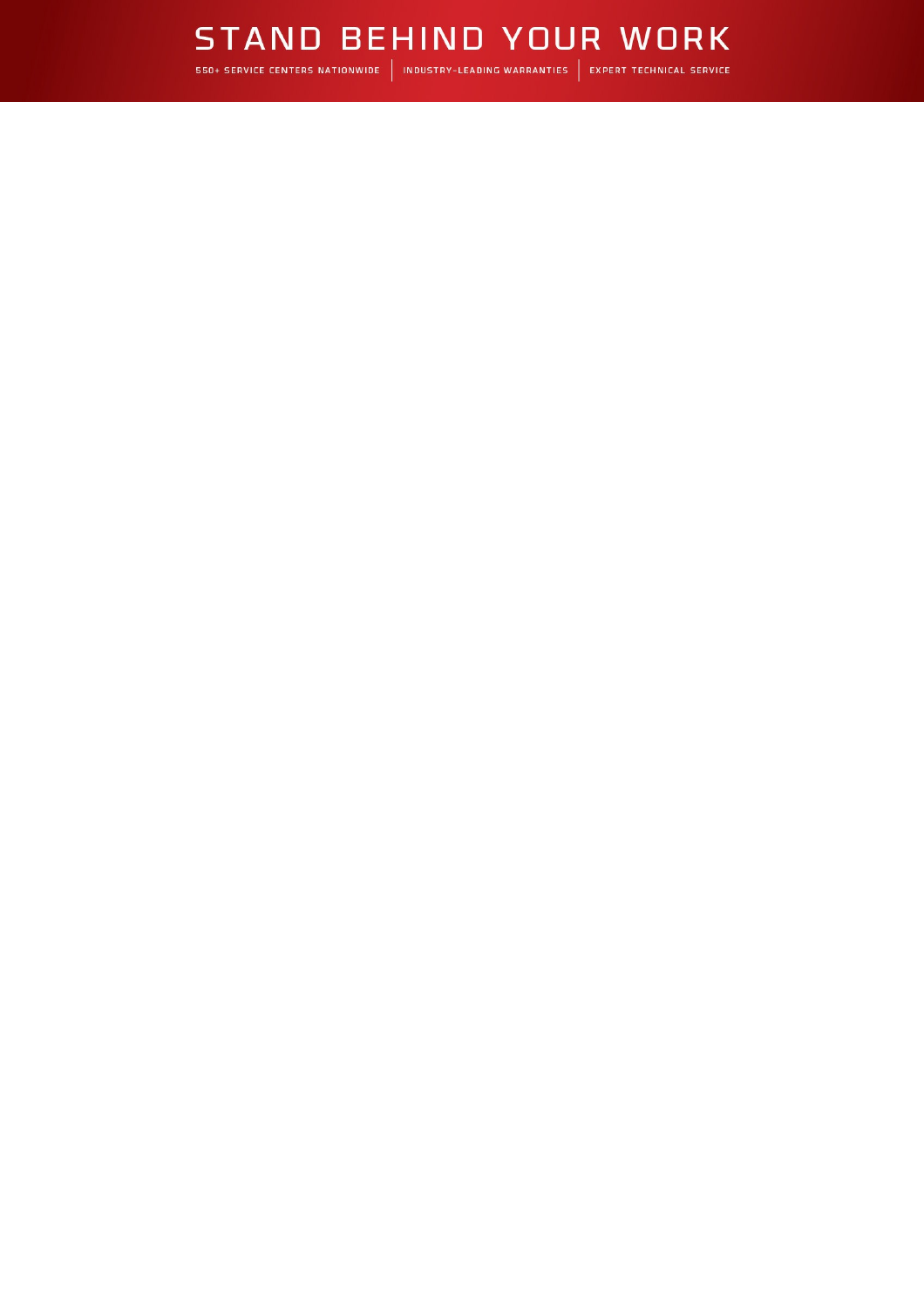### STAND BEHIND YOUR WORK 550+ SERVICE CENTERS NATIONWIDE | INDUSTRY-LEADING WARRANTIES | EXPERT TECHNICAL SERVICE